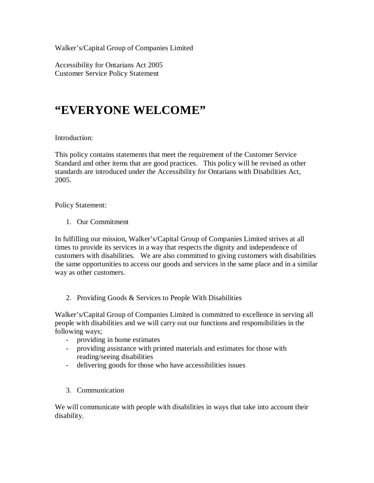Walker's/Capital Group of Companies Limited

Accessibility for Ontarians Act 2005 Customer Service Policy Statement

## **"EVERYONE WELCOME"**

## Introduction:

This policy contains statements that meet the requirement of the Customer Service Standard and other items that are good practices. This policy will be revised as other standards are introduced under the Accessibility for Ontarians with Disabilities Act, 2005.

Policy Statement:

1. Our Commitment

In fulfilling our mission, Walker's/Capital Group of Companies Limited strives at all times to provide its services in a way that respects the dignity and independence of customers with disabilities. We are also committed to giving customers with disabilities the same opportunities to access our goods and services in the same place and in a similar way as other customers.

2. Providing Goods & Services to People With Disabilities

Walker's/Capital Group of Companies Limited is committed to excellence in serving all people with disabilities and we will carry out our functions and responsibilities in the following ways;

- providing in home estimates
- providing assistance with printed materials and estimates for those with reading/seeing disabilities
- delivering goods for those who have accessibilities issues
- 3. Communication

We will communicate with people with disabilities in ways that take into account their disability.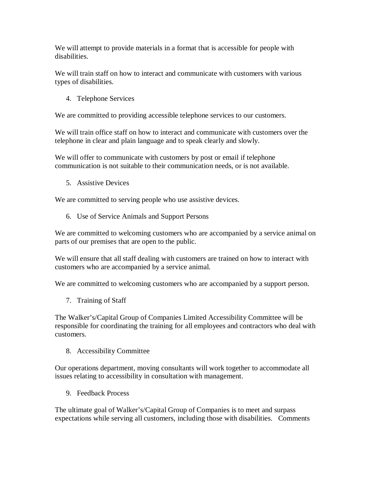We will attempt to provide materials in a format that is accessible for people with disabilities.

We will train staff on how to interact and communicate with customers with various types of disabilities.

4. Telephone Services

We are committed to providing accessible telephone services to our customers.

We will train office staff on how to interact and communicate with customers over the telephone in clear and plain language and to speak clearly and slowly.

We will offer to communicate with customers by post or email if telephone communication is not suitable to their communication needs, or is not available.

5. Assistive Devices

We are committed to serving people who use assistive devices.

6. Use of Service Animals and Support Persons

We are committed to welcoming customers who are accompanied by a service animal on parts of our premises that are open to the public.

We will ensure that all staff dealing with customers are trained on how to interact with customers who are accompanied by a service animal.

We are committed to welcoming customers who are accompanied by a support person.

7. Training of Staff

The Walker's/Capital Group of Companies Limited Accessibility Committee will be responsible for coordinating the training for all employees and contractors who deal with customers.

8. Accessibility Committee

Our operations department, moving consultants will work together to accommodate all issues relating to accessibility in consultation with management.

9. Feedback Process

The ultimate goal of Walker's/Capital Group of Companies is to meet and surpass expectations while serving all customers, including those with disabilities. Comments